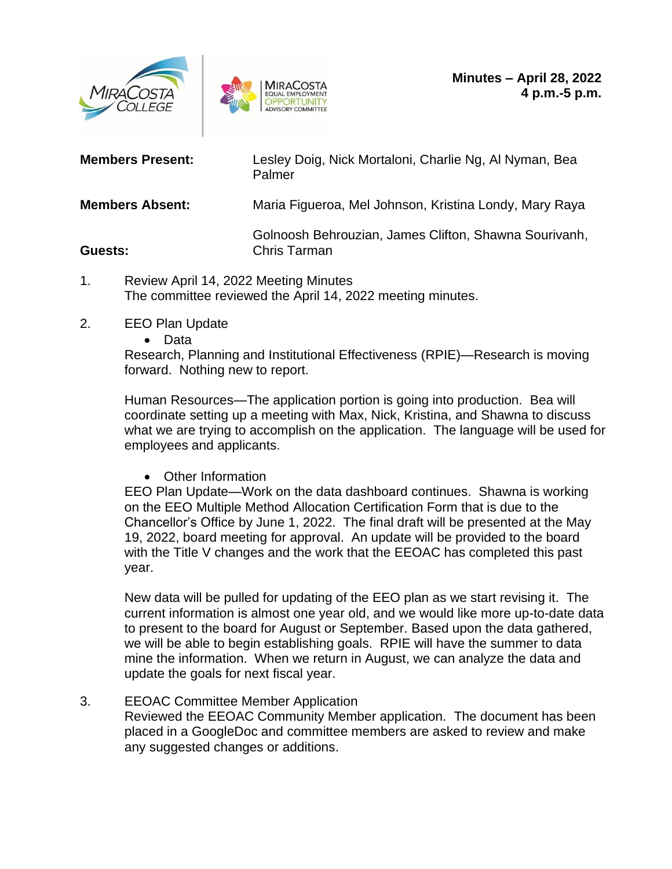



| <b>Members Present:</b> | Lesley Doig, Nick Mortaloni, Charlie Ng, Al Nyman, Bea<br>Palmer      |
|-------------------------|-----------------------------------------------------------------------|
| <b>Members Absent:</b>  | Maria Figueroa, Mel Johnson, Kristina Londy, Mary Raya                |
| Guests:                 | Golnoosh Behrouzian, James Clifton, Shawna Sourivanh,<br>Chris Tarman |

- 1. Review April 14, 2022 Meeting Minutes The committee reviewed the April 14, 2022 meeting minutes.
- 2. EEO Plan Update
	- Data

Research, Planning and Institutional Effectiveness (RPIE)—Research is moving forward. Nothing new to report.

Human Resources—The application portion is going into production. Bea will coordinate setting up a meeting with Max, Nick, Kristina, and Shawna to discuss what we are trying to accomplish on the application. The language will be used for employees and applicants.

• Other Information

EEO Plan Update—Work on the data dashboard continues. Shawna is working on the EEO Multiple Method Allocation Certification Form that is due to the Chancellor's Office by June 1, 2022. The final draft will be presented at the May 19, 2022, board meeting for approval. An update will be provided to the board with the Title V changes and the work that the EEOAC has completed this past year.

New data will be pulled for updating of the EEO plan as we start revising it. The current information is almost one year old, and we would like more up-to-date data to present to the board for August or September. Based upon the data gathered, we will be able to begin establishing goals. RPIE will have the summer to data mine the information. When we return in August, we can analyze the data and update the goals for next fiscal year.

3. EEOAC Committee Member Application

Reviewed the EEOAC Community Member application. The document has been placed in a GoogleDoc and committee members are asked to review and make any suggested changes or additions.